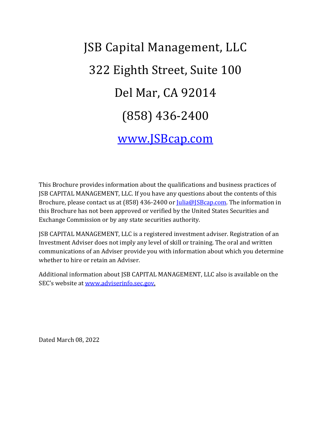# JSB Capital Management, LLC 322 Eighth Street, Suite 100 Del Mar, CA 92014 (858) 436-2400 [www.JSBcap.com](http://www.jsbcap.com/)

This Brochure provides information about the qualifications and business practices of JSB CAPITAL MANAGEMENT, LLC. If you have any questions about the contents of this Brochure, please contact us at (858) 436-2400 o[r Julia@JSBcap.com.](mailto:Julia@JSBcap.com) The information in this Brochure has not been approved or verified by the United States Securities and Exchange Commission or by any state securities authority.

JSB CAPITAL MANAGEMENT, LLC is a registered investment adviser. Registration of an Investment Adviser does not imply any level of skill or training. The oral and written communications of an Adviser provide you with information about which you determine whether to hire or retain an Adviser.

Additional information about JSB CAPITAL MANAGEMENT, LLC also is available on the SEC's website at [www.adviserinfo.sec.gov.](http://www.adviserinfo.sec.gov/)

Dated March 08, 2022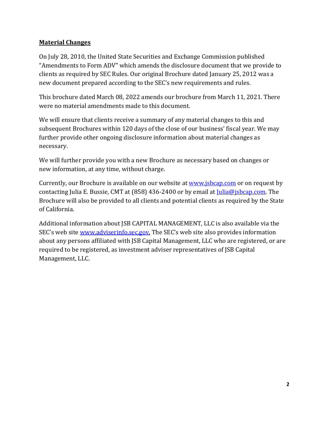## **Material Changes**

On July 28, 2010, the United State Securities and Exchange Commission published "Amendments to Form ADV" which amends the disclosure document that we provide to clients as required by SEC Rules. Our original Brochure dated January 25, 2012 was a new document prepared according to the SEC's new requirements and rules.

This brochure dated March 08, 2022 amends our brochure from March 11, 2021. There were no material amendments made to this document.

We will ensure that clients receive a summary of any material changes to this and subsequent Brochures within 120 days of the close of our business' fiscal year. We may further provide other ongoing disclosure information about material changes as necessary.

We will further provide you with a new Brochure as necessary based on changes or new information, at any time, without charge.

Currently, our Brochure is available on our website a[t www.jsbcap.com](http://www.jsbcap.com/) or on request by contacting Julia E. Bussie, CMT at (858) 436-2400 or by email at  $\text{lulia@isbcap.com.}$  The Brochure will also be provided to all clients and potential clients as required by the State of California.

Additional information about JSB CAPITAL MANAGEMENT, LLC is also available via the SEC's web site [www.adviserinfo.sec.gov.](http://www.adviserinfo.sec.gov/) The SEC's web site also provides information about any persons affiliated with JSB Capital Management, LLC who are registered, or are required to be registered, as investment adviser representatives of JSB Capital Management, LLC.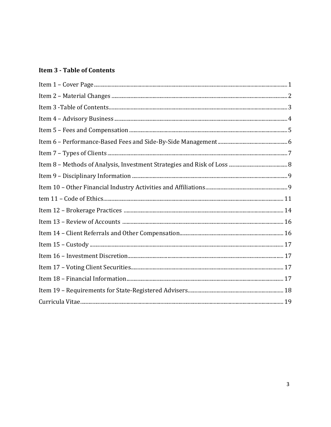## **Item 3 - Table of Contents**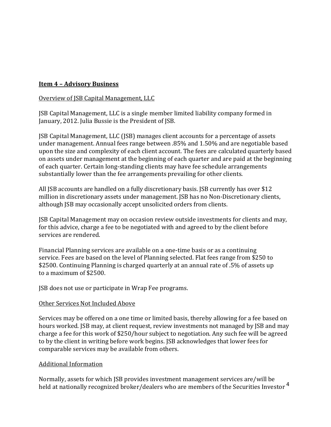## **Item 4 – Advisory Business**

#### Overview of JSB Capital Management, LLC

JSB Capital Management, LLC is a single member limited liability company formed in January, 2012. Julia Bussie is the President of JSB.

JSB Capital Management, LLC (JSB) manages client accounts for a percentage of assets under management. Annual fees range between .85% and 1.50% and are negotiable based upon the size and complexity of each client account. The fees are calculated quarterly based on assets under management at the beginning of each quarter and are paid at the beginning of each quarter. Certain long-standing clients may have fee schedule arrangements substantially lower than the fee arrangements prevailing for other clients.

All JSB accounts are handled on a fully discretionary basis. JSB currently has over \$12 million in discretionary assets under management. JSB has no Non-Discretionary clients, although JSB may occasionally accept unsolicited orders from clients.

JSB Capital Management may on occasion review outside investments for clients and may, for this advice, charge a fee to be negotiated with and agreed to by the client before services are rendered.

Financial Planning services are available on a one-time basis or as a continuing service. Fees are based on the level of Planning selected. Flat fees range from \$250 to \$2500. Continuing Planning is charged quarterly at an annual rate of .5% of assets up to a maximum of \$2500.

JSB does not use or participate in Wrap Fee programs.

#### Other Services Not Included Above

Services may be offered on a one time or limited basis, thereby allowing for a fee based on hours worked. JSB may, at client request, review investments not managed by JSB and may charge a fee for this work of \$250/hour subject to negotiation. Any such fee will be agreed to by the client in writing before work begins. JSB acknowledges that lower fees for comparable services may be available from others.

#### Additional Information

Normally, assets for which JSB provides investment management services are/will be held at nationally recognized broker/dealers who are members of the Securities Investor<sup>4</sup>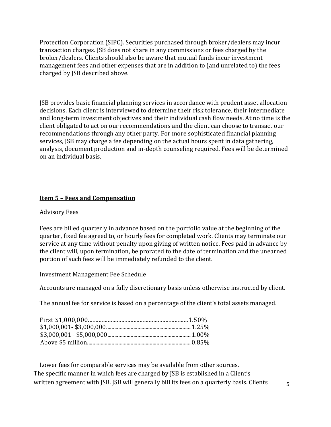Protection Corporation (SIPC). Securities purchased through broker/dealers may incur transaction charges. JSB does not share in any commissions or fees charged by the broker/dealers. Clients should also be aware that mutual funds incur investment management fees and other expenses that are in addition to (and unrelated to) the fees charged by JSB described above.

JSB provides basic financial planning services in accordance with prudent asset allocation decisions. Each client is interviewed to determine their risk tolerance, their intermediate and long-term investment objectives and their individual cash flow needs. At no time is the client obligated to act on our recommendations and the client can choose to transact our recommendations through any other party. For more sophisticated financial planning services, JSB may charge a fee depending on the actual hours spent in data gathering, analysis, document production and in-depth counseling required. Fees will be determined on an individual basis.

## **Item 5 – Fees and Compensation**

#### Advisory Fees

Fees are billed quarterly in advance based on the portfolio value at the beginning of the quarter, fixed fee agreed to, or hourly fees for completed work. Clients may terminate our service at any time without penalty upon giving of written notice. Fees paid in advance by the client will, upon termination, be prorated to the date of termination and the unearned portion of such fees will be immediately refunded to the client.

#### Investment Management Fee Schedule

Accounts are managed on a fully discretionary basis unless otherwise instructed by client.

The annual fee for service is based on a percentage of the client's total assets managed.

Lower fees for comparable services may be available from other sources. The specific manner in which fees are charged by JSB is established in a Client's written agreement with JSB. JSB will generally bill its fees on a quarterly basis. Clients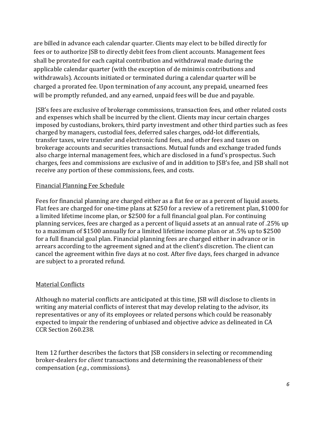are billed in advance each calendar quarter. Clients may elect to be billed directly for fees or to authorize JSB to directly debit fees from client accounts. Management fees shall be prorated for each capital contribution and withdrawal made during the applicable calendar quarter (with the exception of de minimis contributions and withdrawals). Accounts initiated or terminated during a calendar quarter will be charged a prorated fee. Upon termination of any account, any prepaid, unearned fees will be promptly refunded, and any earned, unpaid fees will be due and payable.

JSB's fees are exclusive of brokerage commissions, transaction fees, and other related costs and expenses which shall be incurred by the client. Clients may incur certain charges imposed by custodians, brokers, third party investment and other third parties such as fees charged by managers, custodial fees, deferred sales charges, odd-lot differentials, transfer taxes, wire transfer and electronic fund fees, and other fees and taxes on brokerage accounts and securities transactions. Mutual funds and exchange traded funds also charge internal management fees, which are disclosed in a fund's prospectus. Such charges, fees and commissions are exclusive of and in addition to JSB's fee, and JSB shall not receive any portion of these commissions, fees, and costs.

#### Financial Planning Fee Schedule

Fees for financial planning are charged either as a flat fee or as a percent of liquid assets. Flat fees are charged for one-time plans at \$250 for a review of a retirement plan, \$1000 for a limited lifetime income plan, or \$2500 for a full financial goal plan. For continuing planning services, fees are charged as a percent of liquid assets at an annual rate of .25% up to a maximum of \$1500 annually for a limited lifetime income plan or at .5% up to \$2500 for a full financial goal plan. Financial planning fees are charged either in advance or in arrears according to the agreement signed and at the client's discretion. The client can cancel the agreement within five days at no cost. After five days, fees charged in advance are subject to a prorated refund.

#### Material Conflicts

Although no material conflicts are anticipated at this time, JSB will disclose to clients in writing any material conflicts of interest that may develop relating to the advisor, its representatives or any of its employees or related persons which could be reasonably expected to impair the rendering of unbiased and objective advice as delineated in CA CCR Section 260.238.

Item 12 further describes the factors that JSB considers in selecting or recommending broker-dealers for *client* transactions and determining the reasonableness of their compensation (*e.g.*, commissions).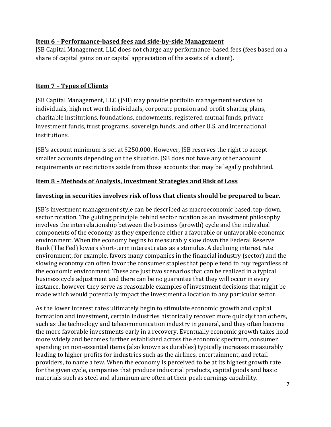## **Item 6 – Performance-based fees and side-by-side Management**

JSB Capital Management, LLC does not charge any performance-based fees (fees based on a share of capital gains on or capital appreciation of the assets of a client).

## **Item 7 – Types of Clients**

JSB Capital Management, LLC (JSB) may provide portfolio management services to individuals, high net worth individuals, corporate pension and profit-sharing plans, charitable institutions, foundations, endowments, registered mutual funds, private investment funds, trust programs, sovereign funds, and other U.S. and international institutions.

JSB's account minimum is set at \$250,000. However, JSB reserves the right to accept smaller accounts depending on the situation. JSB does not have any other account requirements or restrictions aside from those accounts that may be legally prohibited.

## **Item 8 – Methods of Analysis, Investment Strategies and Risk of Loss**

#### **Investing in securities involves risk of loss that clients should be prepared to bear.**

JSB's investment management style can be described as macroeconomic based, top-down, sector rotation. The guiding principle behind sector rotation as an investment philosophy involves the interrelationship between the business (growth) cycle and the individual components of the economy as they experience either a favorable or unfavorable economic environment. When the economy begins to measurably slow down the Federal Reserve Bank (The Fed) lowers short-term interest rates as a stimulus. A declining interest rate environment, for example, favors many companies in the financial industry (sector) and the slowing economy can often favor the consumer staples that people tend to buy regardless of the economic environment. These are just two scenarios that can be realized in a typical business cycle adjustment and there can be no guarantee that they will occur in every instance, however they serve as reasonable examples of investment decisions that might be made which would potentially impact the investment allocation to any particular sector.

As the lower interest rates ultimately begin to stimulate economic growth and capital formation and investment, certain industries historically recover more quickly than others, such as the technology and telecommunication industry in general, and they often become the more favorable investments early in a recovery. Eventually economic growth takes hold more widely and becomes further established across the economic spectrum, consumer spending on non-essential items (also known as durables) typically increases measurably leading to higher profits for industries such as the airlines, entertainment, and retail providers, to name a few. When the economy is perceived to be at its highest growth rate for the given cycle, companies that produce industrial products, capital goods and basic materials such as steel and aluminum are often at their peak earnings capability.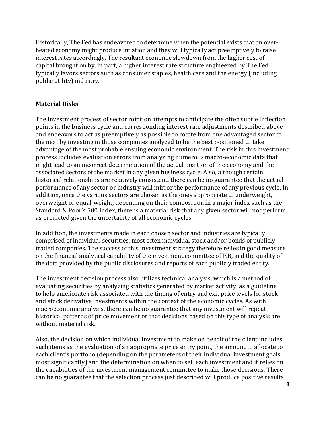Historically, The Fed has endeavored to determine when the potential exists that an overheated economy might produce inflation and they will typically act preemptively to raise interest rates accordingly. The resultant economic slowdown from the higher cost of capital brought on by, in part, a higher interest rate structure engineered by The Fed typically favors sectors such as consumer staples, health care and the energy (including public utility) industry.

## **Material Risks**

The investment process of sector rotation attempts to anticipate the often subtle inflection points in the business cycle and corresponding interest rate adjustments described above and endeavors to act as preemptively as possible to rotate from one advantaged sector to the next by investing in those companies analyzed to be the best positioned to take advantage of the most probable ensuing economic environment. The risk in this investment process includes evaluation errors from analyzing numerous macro-economic data that might lead to an incorrect determination of the actual position of the economy and the associated sectors of the market in any given business cycle. Also, although certain historical relationships are relatively consistent, there can be no guarantee that the actual performance of any sector or industry will mirror the performance of any previous cycle. In addition, once the various sectors are chosen as the ones appropriate to underweight, overweight or equal-weight, depending on their composition in a major index such as the Standard & Poor's 500 Index, there is a material risk that any given sector will not perform as predicted given the uncertainty of all economic cycles.

In addition, the investments made in each chosen sector and industries are typically comprised of individual securities, most often individual stock and/or bonds of publicly traded companies. The success of this investment strategy therefore relies in good measure on the financial analytical capability of the investment committee of JSB, and the quality of the data provided by the public disclosures and reports of each publicly traded entity.

The investment decision process also utilizes technical analysis, which is a method of evaluating securities by analyzing statistics generated by market activity, as a guideline to help ameliorate risk associated with the timing of entry and exit price levels for stock and stock derivative investments within the context of the economic cycles. As with macroeconomic analysis, there can be no guarantee that any investment will repeat historical patterns of price movement or that decisions based on this type of analysis are without material risk.

Also, the decision on which individual investment to make on behalf of the client includes such items as the evaluation of an appropriate price entry point, the amount to allocate to each client's portfolio (depending on the parameters of their individual investment goals most significantly) and the determination on when to sell each investment and it relies on the capabilities of the investment management committee to make those decisions. There can be no guarantee that the selection process just described will produce positive results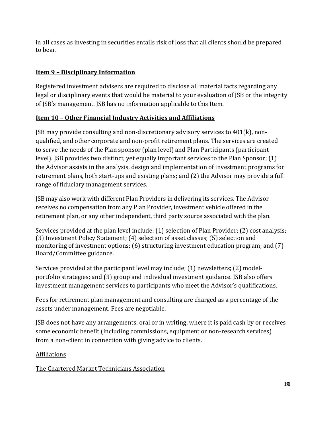in all cases as investing in securities entails risk of loss that all clients should be prepared to bear.

## **Item 9 – Disciplinary Information**

Registered investment advisers are required to disclose all material facts regarding any legal or disciplinary events that would be material to your evaluation of JSB or the integrity of JSB's management. JSB has no information applicable to this Item.

## **Item 10 – Other Financial Industry Activities and Affiliations**

JSB may provide consulting and non-discretionary advisory services to 401(k), nonqualified, and other corporate and non-profit retirement plans. The services are created to serve the needs of the Plan sponsor (plan level) and Plan Participants (participant level). JSB provides two distinct, yet equally important services to the Plan Sponsor; (1) the Advisor assists in the analysis, design and implementation of investment programs for retirement plans, both start-ups and existing plans; and (2) the Advisor may provide a full range of fiduciary management services.

JSB may also work with different Plan Providers in delivering its services. The Advisor receives no compensation from any Plan Provider, investment vehicle offered in the retirement plan, or any other independent, third party source associated with the plan.

Services provided at the plan level include: (1) selection of Plan Provider; (2) cost analysis; (3) Investment Policy Statement; (4) selection of asset classes; (5) selection and monitoring of investment options; (6) structuring investment education program; and (7) Board/Committee guidance.

Services provided at the participant level may include; (1) newsletters; (2) modelportfolio strategies; and (3) group and individual investment guidance. JSB also offers investment management services to participants who meet the Advisor's qualifications.

Fees for retirement plan management and consulting are charged as a percentage of the assets under management. Fees are negotiable.

JSB does not have any arrangements, oral or in writing, where it is paid cash by or receives some economic benefit (including commissions, equipment or non-research services) from a non-client in connection with giving advice to clients.

## Affiliations

The Chartered Market Technicians Association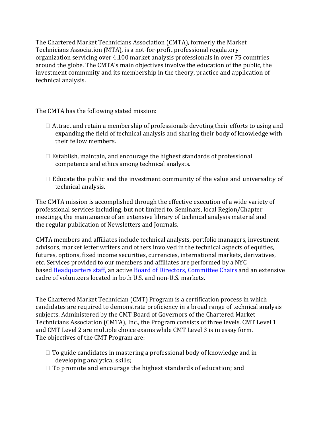The Chartered Market Technicians Association (CMTA), formerly the Market Technicians Association (MTA), is a not-for-profit professional regulatory organization servicing over 4,100 market analysis professionals in over 75 countries around the globe. The CMTA's main objectives involve the education of the public, the investment community and its membership in the theory, practice and application of technical analysis.

The CMTA has the following stated mission:

- $\Box$  Attract and retain a membership of professionals devoting their efforts to using and expanding the field of technical analysis and sharing their body of knowledge with their fellow members.
- $\Box$  Establish, maintain, and encourage the highest standards of professional competence and ethics among technical analysts.
- $\Box$  Educate the public and the investment community of the value and universality of technical analysis.

The CMTA mission is accomplished through the effective execution of a wide variety of professional services including, but not limited to, Seminars, local Region/Chapter meetings, the maintenance of an extensive library of technical analysis material and the regular publication of Newsletters and Journals.

CMTA members and affiliates include technical analysts, portfolio managers, investment advisors, market letter writers and others involved in the technical aspects of equities, futures, options, fixed income securities, currencies, international markets, derivatives, etc. Services provided to our members and affiliates are performed by a NYC based Headquarters staff, an active Board of Directors, Committee Chairs and an extensive cadre of volunteers located in both U.S. and non-U.S. markets.

The Chartered Market Technician (CMT) Program is a certification process in which candidates are required to demonstrate proficiency in a broad range of technical analysis subjects. Administered by the CMT Board of Governors of the Chartered Market Technicians Association (CMTA), Inc., the Program consists of three levels. CMT Level 1 and CMT Level 2 are multiple choice exams while CMT Level 3 is in essay form. The objectives of the CMT Program are:

- $\Box$  To guide candidates in mastering a professional body of knowledge and in developing analytical skills;
- $\Box$  To promote and encourage the highest standards of education; and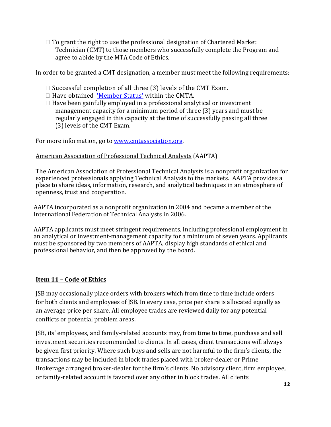$\Box$  To grant the right to use the professional designation of Chartered Market Technician (CMT) to those members who successfully complete the Program and agree to abide by the MTA Code of Ethics.

In order to be granted a CMT designation, a member must meet the following requirements:

- $\Box$  Successful completion of all three (3) levels of the CMT Exam.
- $\Box$  Have obtained 'Member Status' within the CMTA.
- $\Box$  Have been gainfully employed in a professional analytical or investment management capacity for a minimum period of three (3) years and must be regularly engaged in this capacity at the time of successfully passing all three (3) levels of the CMT Exam.

For more information, go t[o www.cmtassociation.org.](http://www.cmtassociation.org/)

## American Association of Professional Technical Analysts (AAPTA)

The American Association of Professional Technical Analysts is a nonprofit organization for experienced professionals applying Technical Analysis to the markets. AAPTA provides a place to share ideas, information, research, and analytical techniques in an atmosphere of openness, trust and cooperation.

AAPTA incorporated as a nonprofit organization in 2004 and became a member of the International Federation of Technical Analysts in 2006.

AAPTA applicants must meet stringent requirements, including professional employment in an analytical or investment-management capacity for a minimum of seven years. Applicants must be sponsored by two members of AAPTA, display high standards of ethical and professional behavior, and then be approved by the board.

#### **Item 11 – Code of Ethics**

JSB may occasionally place orders with brokers which from time to time include orders for both clients and employees of JSB. In every case, price per share is allocated equally as an average price per share. All employee trades are reviewed daily for any potential conflicts or potential problem areas.

JSB, its' employees, and family-related accounts may, from time to time, purchase and sell investment securities recommended to clients. In all cases, client transactions will always be given first priority. Where such buys and sells are not harmful to the firm's clients, the transactions may be included in block trades placed with broker-dealer or Prime Brokerage arranged broker-dealer for the firm's clients. No advisory client, firm employee, or family-related account is favored over any other in block trades. All clients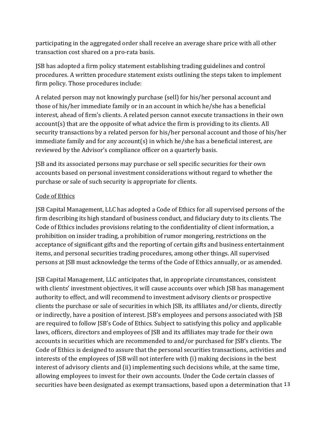participating in the aggregated order shall receive an average share price with all other transaction cost shared on a pro-rata basis.

JSB has adopted a firm policy statement establishing trading guidelines and control procedures. A written procedure statement exists outlining the steps taken to implement firm policy. Those procedures include:

A related person may not knowingly purchase (sell) for his/her personal account and those of his/her immediate family or in an account in which he/she has a beneficial interest, ahead of firm's clients. A related person cannot execute transactions in their own account(s) that are the opposite of what advice the firm is providing to its clients. All security transactions by a related person for his/her personal account and those of his/her immediate family and for any account(s) in which he/she has a beneficial interest, are reviewed by the Advisor's compliance officer on a quarterly basis.

JSB and its associated persons may purchase or sell specific securities for their own accounts based on personal investment considerations without regard to whether the purchase or sale of such security is appropriate for clients.

## Code of Ethics

JSB Capital Management, LLC has adopted a Code of Ethics for all supervised persons of the firm describing its high standard of business conduct, and fiduciary duty to its clients. The Code of Ethics includes provisions relating to the confidentiality of client information, a prohibition on insider trading, a prohibition of rumor mongering, restrictions on the acceptance of significant gifts and the reporting of certain gifts and business entertainment items, and personal securities trading procedures, among other things. All supervised persons at JSB must acknowledge the terms of the Code of Ethics annually, or as amended.

JSB Capital Management, LLC anticipates that, in appropriate circumstances, consistent with clients' investment objectives, it will cause accounts over which JSB has management authority to effect, and will recommend to investment advisory clients or prospective clients the purchase or sale of securities in which JSB, its affiliates and/or clients, directly or indirectly, have a position of interest. JSB's employees and persons associated with JSB are required to follow JSB's Code of Ethics. Subject to satisfying this policy and applicable laws, officers, directors and employees of JSB and its affiliates may trade for their own accounts in securities which are recommended to and/or purchased for JSB's clients. The Code of Ethics is designed to assure that the personal securities transactions, activities and interests of the employees of JSB will not interfere with (i) making decisions in the best interest of advisory clients and (ii) implementing such decisions while, at the same time, allowing employees to invest for their own accounts. Under the Code certain classes of securities have been designated as exempt transactions, based upon a determination that 13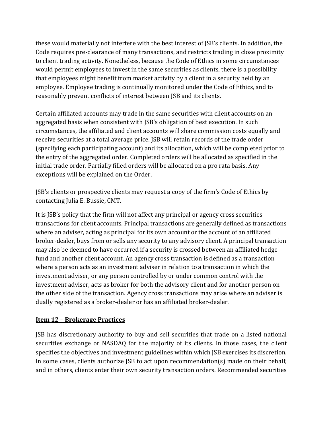these would materially not interfere with the best interest of JSB's clients. In addition, the Code requires pre-clearance of many transactions, and restricts trading in close proximity to client trading activity. Nonetheless, because the Code of Ethics in some circumstances would permit employees to invest in the same securities as clients, there is a possibility that employees might benefit from market activity by a client in a security held by an employee. Employee trading is continually monitored under the Code of Ethics, and to reasonably prevent conflicts of interest between JSB and its clients.

Certain affiliated accounts may trade in the same securities with client accounts on an aggregated basis when consistent with JSB's obligation of best execution. In such circumstances, the affiliated and client accounts will share commission costs equally and receive securities at a total average price. JSB will retain records of the trade order (specifying each participating account) and its allocation, which will be completed prior to the entry of the aggregated order. Completed orders will be allocated as specified in the initial trade order. Partially filled orders will be allocated on a pro rata basis. Any exceptions will be explained on the Order.

JSB's clients or prospective clients may request a copy of the firm's Code of Ethics by contacting Julia E. Bussie, CMT.

It is JSB's policy that the firm will not affect any principal or agency cross securities transactions for client accounts. Principal transactions are generally defined as transactions where an adviser, acting as principal for its own account or the account of an affiliated broker-dealer, buys from or sells any security to any advisory client. A principal transaction may also be deemed to have occurred if a security is crossed between an affiliated hedge fund and another client account. An agency cross transaction is defined as a transaction where a person acts as an investment adviser in relation to a transaction in which the investment adviser, or any person controlled by or under common control with the investment adviser, acts as broker for both the advisory client and for another person on the other side of the transaction. Agency cross transactions may arise where an adviser is dually registered as a broker-dealer or has an affiliated broker-dealer.

## **Item 12 – Brokerage Practices**

JSB has discretionary authority to buy and sell securities that trade on a listed national securities exchange or NASDAQ for the majority of its clients. In those cases, the client specifies the objectives and investment guidelines within which JSB exercises its discretion. In some cases, clients authorize JSB to act upon recommendation(s) made on their behalf, and in others, clients enter their own security transaction orders. Recommended securities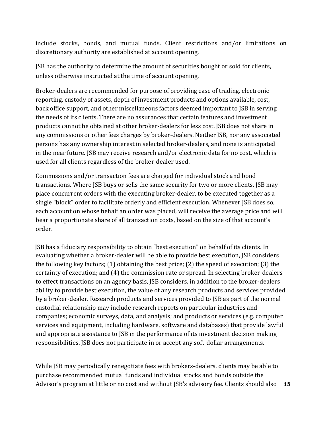include stocks, bonds, and mutual funds. Client restrictions and/or limitations on discretionary authority are established at account opening.

JSB has the authority to determine the amount of securities bought or sold for clients, unless otherwise instructed at the time of account opening.

Broker-dealers are recommended for purpose of providing ease of trading, electronic reporting, custody of assets, depth of investment products and options available, cost, back office support, and other miscellaneous factors deemed important to JSB in serving the needs of its clients. There are no assurances that certain features and investment products cannot be obtained at other broker-dealers for less cost. JSB does not share in any commissions or other fees charges by broker-dealers. Neither JSB, nor any associated persons has any ownership interest in selected broker-dealers, and none is anticipated in the near future. JSB may receive research and/or electronic data for no cost, which is used for all clients regardless of the broker-dealer used.

Commissions and/or transaction fees are charged for individual stock and bond transactions. Where JSB buys or sells the same security for two or more clients, JSB may place concurrent orders with the executing broker-dealer, to be executed together as a single "block" order to facilitate orderly and efficient execution. Whenever JSB does so, each account on whose behalf an order was placed, will receive the average price and will bear a proportionate share of all transaction costs, based on the size of that account's order.

 JSB has a fiduciary responsibility to obtain "best execution" on behalf of its clients. In evaluating whether a broker-dealer will be able to provide best execution, JSB considers the following key factors; (1) obtaining the best price; (2) the speed of execution; (3) the certainty of execution; and (4) the commission rate or spread. In selecting broker-dealers to effect transactions on an agency basis, JSB considers, in addition to the broker-dealers ability to provide best execution, the value of any research products and services provided by a broker-dealer. Research products and services provided to JSB as part of the normal custodial relationship may include research reports on particular industries and companies; economic surveys, data, and analysis; and products or services (e.g. computer services and equipment, including hardware, software and databases) that provide lawful and appropriate assistance to JSB in the performance of its investment decision making responsibilities. JSB does not participate in or accept any soft-dollar arrangements.

While JSB may periodically renegotiate fees with brokers-dealers, clients may be able to purchase recommended mutual funds and individual stocks and bonds outside the Advisor's program at little or no cost and without JSB's advisory fee. Clients should also 18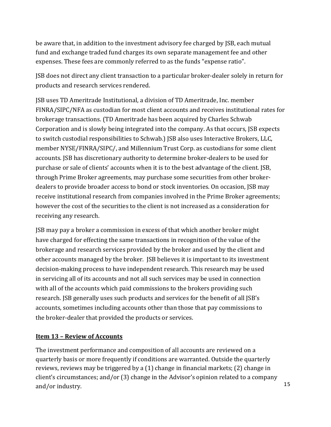be aware that, in addition to the investment advisory fee charged by JSB, each mutual fund and exchange traded fund charges its own separate management fee and other expenses. These fees are commonly referred to as the funds "expense ratio".

JSB does not direct any client transaction to a particular broker-dealer solely in return for products and research services rendered.

JSB uses TD Ameritrade Institutional, a division of TD Ameritrade, Inc. member FINRA/SIPC/NFA as custodian for most client accounts and receives institutional rates for brokerage transactions. (TD Ameritrade has been acquired by Charles Schwab Corporation and is slowly being integrated into the company. As that occurs, JSB expects to switch custodial responsibilities to Schwab.) JSB also uses Interactive Brokers, LLC, member NYSE/FINRA/SIPC/, and Millennium Trust Corp. as custodians for some client accounts. JSB has discretionary authority to determine broker-dealers to be used for purchase or sale of clients' accounts when it is to the best advantage of the client. JSB, through Prime Broker agreements, may purchase some securities from other brokerdealers to provide broader access to bond or stock inventories. On occasion, JSB may receive institutional research from companies involved in the Prime Broker agreements; however the cost of the securities to the client is not increased as a consideration for receiving any research.

JSB may pay a broker a commission in excess of that which another broker might have charged for effecting the same transactions in recognition of the value of the brokerage and research services provided by the broker and used by the client and other accounts managed by the broker. JSB believes it is important to its investment decision-making process to have independent research. This research may be used in servicing all of its accounts and not all such services may be used in connection with all of the accounts which paid commissions to the brokers providing such research. JSB generally uses such products and services for the benefit of all JSB's accounts, sometimes including accounts other than those that pay commissions to the broker-dealer that provided the products or services.

## **Item 13 – Review of Accounts**

The investment performance and composition of all accounts are reviewed on a quarterly basis or more frequently if conditions are warranted. Outside the quarterly reviews, reviews may be triggered by a (1) change in financial markets; (2) change in client's circumstances; and/or (3) change in the Advisor's opinion related to a company and/or industry. The same state of the state of the state of the state of the state of the state of the state of the state of the state of the state of the state of the state of the state of the state of the state of the s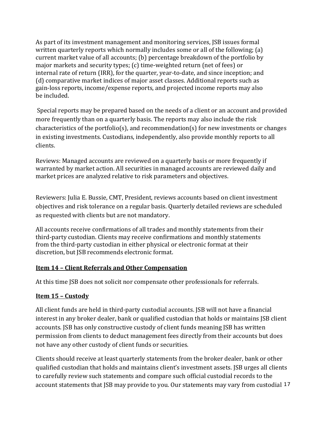As part of its investment management and monitoring services, JSB issues formal written quarterly reports which normally includes some or all of the following; (a) current market value of all accounts; (b) percentage breakdown of the portfolio by major markets and security types; (c) time-weighted return (net of fees) or internal rate of return (IRR), for the quarter, year-to-date, and since inception; and (d) comparative market indices of major asset classes. Additional reports such as gain-loss reports, income/expense reports, and projected income reports may also be included.

 Special reports may be prepared based on the needs of a client or an account and provided more frequently than on a quarterly basis. The reports may also include the risk characteristics of the portfolio(s), and recommendation(s) for new investments or changes in existing investments. Custodians, independently, also provide monthly reports to all clients.

Reviews: Managed accounts are reviewed on a quarterly basis or more frequently if warranted by market action. All securities in managed accounts are reviewed daily and market prices are analyzed relative to risk parameters and objectives.

Reviewers: Julia E. Bussie, CMT, President, reviews accounts based on client investment objectives and risk tolerance on a regular basis. Quarterly detailed reviews are scheduled as requested with clients but are not mandatory.

All accounts receive confirmations of all trades and monthly statements from their third-party custodian. Clients may receive confirmations and monthly statements from the third-party custodian in either physical or electronic format at their discretion, but JSB recommends electronic format.

## **Item 14 – Client Referrals and Other Compensation**

At this time JSB does not solicit nor compensate other professionals for referrals.

## **Item 15 – Custody**

All client funds are held in third-party custodial accounts. JSB will not have a financial interest in any broker dealer, bank or qualified custodian that holds or maintains JSB client accounts. JSB has only constructive custody of client funds meaning JSB has written permission from clients to deduct management fees directly from their accounts but does not have any other custody of client funds or securities.

Clients should receive at least quarterly statements from the broker dealer, bank or other qualified custodian that holds and maintains client's investment assets. JSB urges all clients to carefully review such statements and compare such official custodial records to the account statements that JSB may provide to you. Our statements may vary from custodial 17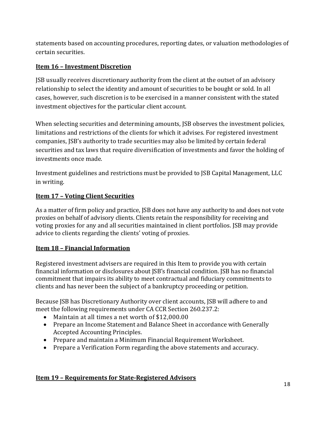statements based on accounting procedures, reporting dates, or valuation methodologies of certain securities.

## **Item 16 – Investment Discretion**

JSB usually receives discretionary authority from the client at the outset of an advisory relationship to select the identity and amount of securities to be bought or sold. In all cases, however, such discretion is to be exercised in a manner consistent with the stated investment objectives for the particular client account.

When selecting securities and determining amounts, JSB observes the investment policies, limitations and restrictions of the clients for which it advises. For registered investment companies, JSB's authority to trade securities may also be limited by certain federal securities and tax laws that require diversification of investments and favor the holding of investments once made.

Investment guidelines and restrictions must be provided to JSB Capital Management, LLC in writing.

## **Item 17 – Voting Client Securities**

As a matter of firm policy and practice, JSB does not have any authority to and does not vote proxies on behalf of advisory clients. Clients retain the responsibility for receiving and voting proxies for any and all securities maintained in client portfolios. JSB may provide advice to clients regarding the clients' voting of proxies.

## **Item 18 – Financial Information**

Registered investment advisers are required in this Item to provide you with certain financial information or disclosures about JSB's financial condition. JSB has no financial commitment that impairs its ability to meet contractual and fiduciary commitments to clients and has never been the subject of a bankruptcy proceeding or petition.

Because JSB has Discretionary Authority over client accounts, JSB will adhere to and meet the following requirements under CA CCR Section 260.237.2:

- Maintain at all times a net worth of \$12,000.00
- Prepare an Income Statement and Balance Sheet in accordance with Generally Accepted Accounting Principles.
- Prepare and maintain a Minimum Financial Requirement Worksheet.
- Prepare a Verification Form regarding the above statements and accuracy.

## **Item 19 – Requirements for State-Registered Advisors**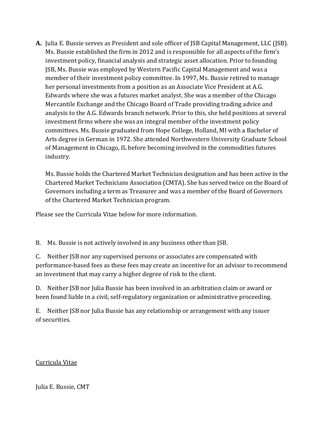**A.** Julia E. Bussie serves as President and sole officer of JSB Capital Management, LLC (JSB). Ms. Bussie established the firm in 2012 and is responsible for all aspects of the firm's investment policy, financial analysis and strategic asset allocation. Prior to founding JSB, Ms. Bussie was employed by Western Pacific Capital Management and was a member of their investment policy committee. In 1997, Ms. Bussie retired to manage her personal investments from a position as an Associate Vice President at A.G. Edwards where she was a futures market analyst. She was a member of the Chicago Mercantile Exchange and the Chicago Board of Trade providing trading advice and analysis to the A.G. Edwards branch network. Prior to this, she held positions at several investment firms where she was an integral member of the investment policy committees. Ms. Bussie graduated from Hope College, Holland, MI with a Bachelor of Arts degree in German in 1972. She attended Northwestern University Graduate School of Management in Chicago, IL before becoming involved in the commodities futures industry.

Ms. Bussie holds the Chartered Market Technician designation and has been active in the Chartered Market Technicians Association (CMTA). She has served twice on the Board of Governors including a term as Treasurer and was a member of the Board of Governors of the Chartered Market Technician program.

Please see the Curricula Vitae below for more information.

B. Ms. Bussie is not actively involved in any business other than JSB.

C. Neither JSB nor any supervised persons or associates are compensated with performance-based fees as these fees may create an incentive for an advisor to recommend an investment that may carry a higher degree of risk to the client.

D. Neither JSB nor Julia Bussie has been involved in an arbitration claim or award or been found liable in a civil, self-regulatory organization or administrative proceeding.

E. Neither JSB nor Julia Bussie has any relationship or arrangement with any issuer of securities.

## Curricula Vitae

Julia E. Bussie, CMT